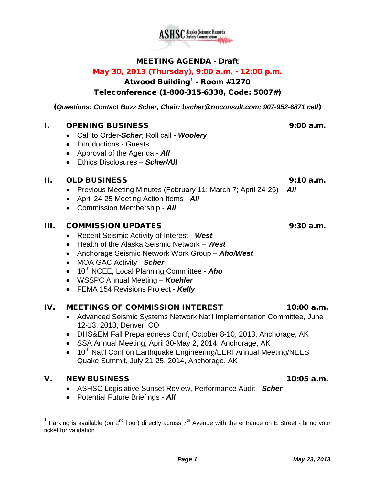# MEETING AGENDA - Draft

# May 30, 2013 (Thursday), 9:00 a.m. - 12:00 p.m.

Atwood Building<sup>[1](#page-0-0)</sup> - Room #1270

# Teleconference (1-800-315-6338, Code: 5007#)

(*Questions: Contact Buzz Scher, Chair: [bscher@rmconsult.com;](mailto:bscher@rmconsult.com) 907-952-6871 cell*)

# I. OPENING BUSINESS 9:00 a.m.

- Call to Order-*Scher*; Roll call *Woolery*
- Introductions Guests
- Approval of the Agenda *All*
- Ethics Disclosures *Scher/All*

# II. OLD BUSINESS 9:10 a.m.

- Previous Meeting Minutes (February 11; March 7; April 24-25) *All*
- April 24-25 Meeting Action Items *All*
- Commission Membership *All*

#### III. COMMISSION UPDATES 9:30 a.m.

- Recent Seismic Activity of Interest *West*
- Health of the Alaska Seismic Network *West*
- Anchorage Seismic Network Work Group *Aho/West*
- MOA GAC Activity *Scher*
- 10<sup>th</sup> NCEE, Local Planning Committee **Aho**
- WSSPC Annual Meeting *Koehler*
- FEMA 154 Revisions Project *Kelly*

# IV. MEETINGS OF COMMISSION INTEREST 10:00 a.m.

- Advanced Seismic Systems Network Nat'l Implementation Committee, June 12-13, 2013, Denver, CO
- DHS&EM Fall Preparedness Conf, October 8-10, 2013, Anchorage, AK
- SSA Annual Meeting, April 30-May 2, 2014, Anchorage, AK
- $\bullet$  10<sup>th</sup> Nat'l Conf on Earthquake Engineering/EERI Annual Meeting/NEES Quake Summit, July 21-25, 2014, Anchorage, AK

# V. NEW BUSINESS 10:05 a.m.

- ASHSC Legislative Sunset Review, Performance Audit *Scher*
- Potential Future Briefings *All*



<span id="page-0-0"></span><sup>&</sup>lt;sup>1</sup> Parking is available (on 2<sup>nd</sup> floor) directly across 7<sup>th</sup> Avenue with the entrance on E Street - bring your ticket for validation.